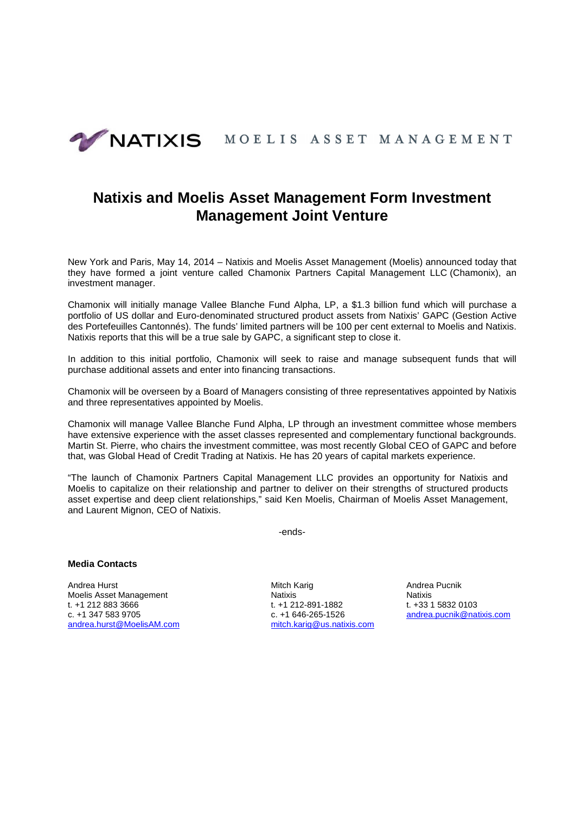

# **Natixis and Moelis Asset Management Form Investment Management Joint Venture**

New York and Paris, May 14, 2014 – Natixis and Moelis Asset Management (Moelis) announced today that they have formed a joint venture called Chamonix Partners Capital Management LLC (Chamonix), an investment manager.

Chamonix will initially manage Vallee Blanche Fund Alpha, LP, a \$1.3 billion fund which will purchase a portfolio of US dollar and Euro-denominated structured product assets from Natixis' GAPC (Gestion Active des Portefeuilles Cantonnés). The funds' limited partners will be 100 per cent external to Moelis and Natixis. Natixis reports that this will be a true sale by GAPC, a significant step to close it.

In addition to this initial portfolio, Chamonix will seek to raise and manage subsequent funds that will purchase additional assets and enter into financing transactions.

Chamonix will be overseen by a Board of Managers consisting of three representatives appointed by Natixis and three representatives appointed by Moelis.

Chamonix will manage Vallee Blanche Fund Alpha, LP through an investment committee whose members have extensive experience with the asset classes represented and complementary functional backgrounds. Martin St. Pierre, who chairs the investment committee, was most recently Global CEO of GAPC and before that, was Global Head of Credit Trading at Natixis. He has 20 years of capital markets experience.

"The launch of Chamonix Partners Capital Management LLC provides an opportunity for Natixis and Moelis to capitalize on their relationship and partner to deliver on their strengths of structured products asset expertise and deep client relationships," said Ken Moelis, Chairman of Moelis Asset Management, and Laurent Mignon, CEO of Natixis.

-ends-

## **Media Contacts**

Moelis Asset Management **Natixis** Natixis Natixis Natixis Natixis t. +1 212 883 3666 t. +1 212-891-1882 t. +33 1 5832 0103 c. +1 347 583 9705 c. +1 646-265-1526 andrea.pucnik@natixis.com andrea.hurst@MoelisAM.com mitch.karig@us.natixis.com

Andrea Hurst Mitch Karig Mitch Karig Andrea Pucnik